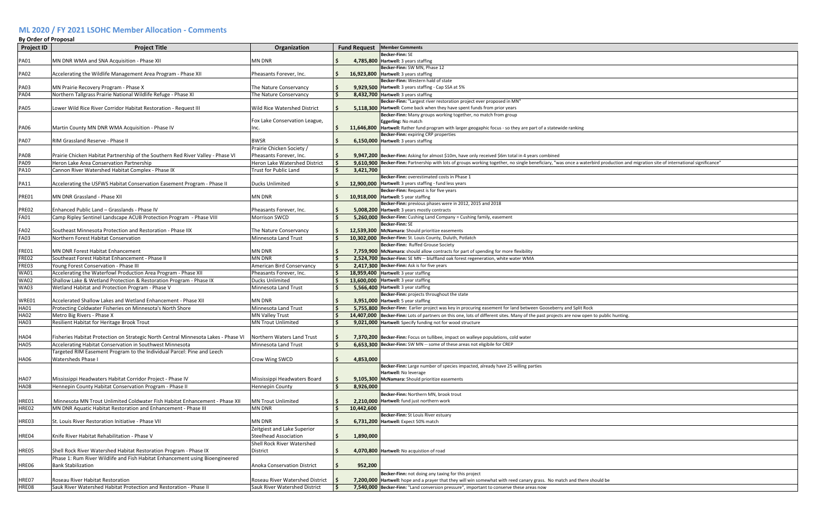## **ML 2020 / FY 2021 LSOHC Member Allocation - Comments**

| <b>By Order of Proposal</b> |                                                                                    |                                    |                     |                                                                                                                                                                                    |
|-----------------------------|------------------------------------------------------------------------------------|------------------------------------|---------------------|------------------------------------------------------------------------------------------------------------------------------------------------------------------------------------|
| <b>Project ID</b>           | <b>Project Title</b>                                                               | Organization                       | <b>Fund Request</b> | <b>Member Comments</b>                                                                                                                                                             |
|                             |                                                                                    |                                    |                     | <b>Becker-Finn: SE</b>                                                                                                                                                             |
| <b>PA01</b>                 | MN DNR WMA and SNA Acquisition - Phase XII                                         | MN DNR                             |                     | 4,785,800 Hartwell: 3 years staffing<br>Becker-Finn: SW MN, Phase 12                                                                                                               |
| <b>PA02</b>                 | Accelerating the Wildlife Management Area Program - Phase XII                      | Pheasants Forever, Inc.            | S.                  | 16,923,800 Hartwell: 3 years staffing                                                                                                                                              |
|                             |                                                                                    |                                    |                     | Becker-Finn: Western hald of state                                                                                                                                                 |
| <b>PA03</b>                 | MN Prairie Recovery Program - Phase X                                              | The Nature Conservancy             | \$                  | 9,929,500   Hartwell: 3 years staffing - Cap SSA at 5%                                                                                                                             |
| <b>PA04</b>                 | Northern Tallgrass Prairie National Wildlife Refuge - Phase XI                     | The Nature Conservancy             | Ŝ.                  | 8,432,700 Hartwell: 3 years staffing                                                                                                                                               |
|                             |                                                                                    |                                    |                     | Becker-Finn: "Largest river restoration project ever proposed in MN"                                                                                                               |
| <b>PA05</b>                 | Lower Wild Rice River Corridor Habitat Restoration - Request III                   | Wild Rice Watershed District       |                     | 5,118,300 Hartwell: Come back when they have spent funds from prior years                                                                                                          |
|                             |                                                                                    |                                    |                     | Becker-Finn: Many groups working together, no match from group                                                                                                                     |
|                             |                                                                                    | Fox Lake Conservation League,      |                     | Eggerling: No match                                                                                                                                                                |
| <b>PA06</b>                 | Martin County MN DNR WMA Acquisition - Phase IV                                    | Inc.                               | S.                  | 11,646,800 Hartwell: Rather fund program with larger geogaphic focus - so they are part of a statewide ranking                                                                     |
|                             |                                                                                    |                                    |                     | Becker-Finn: expiring CRP properties                                                                                                                                               |
| <b>PA07</b>                 | RIM Grassland Reserve - Phase II                                                   | <b>BWSR</b>                        |                     | 6,150,000   Hartwell: 3 years staffing                                                                                                                                             |
|                             |                                                                                    | Prairie Chicken Society /          |                     |                                                                                                                                                                                    |
| <b>PA08</b>                 | Prairie Chicken Habitat Partnership of the Southern Red River Valley - Phase VI    | Pheasants Forever, Inc.            | S.                  | 9,947,200 Becker-Finn: Asking for almost \$10m, have only received \$6m total in 4 years combined                                                                                  |
| <b>PA09</b>                 | Heron Lake Area Conservation Partnership                                           | Heron Lake Watershed District      | Ŝ.                  | 9,610,900 Becker-Finn: Partnership with lots of groups working together, no single beneficiary, "was once a waterbird production and migration site of international significance' |
| <b>PA10</b>                 | Cannon River Watershed Habitat Complex - Phase IX                                  | Trust for Public Land              | 3,421,700           |                                                                                                                                                                                    |
|                             |                                                                                    |                                    |                     | Becker-Finn: overestimated costs in Phase 1                                                                                                                                        |
| <b>PA11</b>                 | Accelerating the USFWS Habitat Conservation Easement Program - Phase II            | Ducks Unlimited                    |                     | 12,900,000   Hartwell: 3 years staffing - fund less years                                                                                                                          |
| PRE01                       | MN DNR Grassland - Phase XII                                                       | <b>MN DNR</b>                      |                     | Becker-Finn: Request is for five years<br>10,918,000   Hartwell: 5 year staffing                                                                                                   |
|                             |                                                                                    |                                    |                     | Becker-Finn: previous phases were in 2012, 2015 and 2018                                                                                                                           |
| PRE02                       | Enhanced Public Land - Grasslands - Phase IV                                       | Pheasants Forever, Inc.            |                     | 5,008,200 Hartwell: 3 years mostly contracts                                                                                                                                       |
| <b>FA01</b>                 | Camp Ripley Sentinel Landscape ACUB Protection Program - Phase VIII                | <b>Morrison SWCD</b>               |                     | 5,260,000 Becker-Finn: Cushing Land Company = Cushing family, easement                                                                                                             |
|                             |                                                                                    |                                    |                     | <b>Becker-Finn: SE</b>                                                                                                                                                             |
| <b>FA02</b>                 | Southeast Minnesota Protection and Restoration - Phase IIX                         | The Nature Conservancy             |                     | 12,539,300 McNamara: Should prioritize easements                                                                                                                                   |
| <b>FA03</b>                 | Northern Forest Habitat Conservation                                               | Minnesota Land Trust               | Ŝ.                  | 10,302,000 Becker-Finn: St. Louis County, Duluth, Potlatch                                                                                                                         |
|                             |                                                                                    |                                    |                     | Becker-Finn: Ruffed Grouse Society                                                                                                                                                 |
| FRE01                       | <b>MN DNR Forest Habitat Enhancement</b>                                           | MN DNR                             |                     | 7,759,900 McNamara: should allow contracts for part of spending for more flexibility                                                                                               |
| FRE02                       | Southeast Forest Habitat Enhancement - Phase II                                    | MN DNR                             | Ŝ.                  | 2,524,700 Becker-Finn: SE MN -- bluffland oak forest regeneration, white water WMA                                                                                                 |
| FRE03                       | Young Forest Conservation - Phase III                                              | American Bird Conservancy          | Ŝ.                  | 2,417,300 Becker-Finn: Ask is for five years                                                                                                                                       |
| <b>WA01</b>                 | Accelerating the Waterfowl Production Area Program - Phase XII                     | Pheasants Forever, Inc.            | Ŝ.                  | 18,959,400   Hartwell: 3 year staffing                                                                                                                                             |
| <b>WA02</b>                 | Shallow Lake & Wetland Protection & Restoration Program - Phase IX                 | Ducks Unlimited                    |                     | 13,600,000 Hartwell: 3 year staffing                                                                                                                                               |
| <b>WA03</b>                 | Wetland Habitat and Protection Program - Phase V                                   | Minnesota Land Trust               |                     | 5,566,400 Hartwell: 3 year staffing                                                                                                                                                |
|                             |                                                                                    |                                    |                     | Becker-Finn: projects throughout the state                                                                                                                                         |
| WRE01                       | Accelerated Shallow Lakes and Wetland Enhancement - Phase XII                      | <b>MN DNR</b>                      |                     | 3,951,000   Hartwell: 5 year staffing                                                                                                                                              |
| <b>HA01</b>                 | Protecting Coldwater Fisheries on Minnesota's North Shore                          | Minnesota Land Trust               | Ŝ.                  | 5,755,800 Becker-Finn: Earlier project was key in procuring easement for land between Gooseberry and Split Rock                                                                    |
| <b>HA02</b>                 | Metro Big Rivers - Phase X                                                         | <b>MN Valley Trust</b>             |                     | 14,407,000 Becker-Finn: Lots of partners on this one, lots of different sites. Many of the past projects are now open to public hunting                                            |
| <b>HA03</b>                 | <b>Resilient Habitat for Heritage Brook Trout</b>                                  | <b>MN Trout Unlimited</b>          |                     | 9,021,000   Hartwell: Specify funding not for wood structure                                                                                                                       |
|                             |                                                                                    |                                    |                     |                                                                                                                                                                                    |
| <b>HA04</b>                 | Fisheries Habitat Protection on Strategic North Central Minnesota Lakes - Phase VI | Northern Waters Land Trust         | \$.                 | 7,370,200 Becker-Finn: Focus on tullibee, impact on walleye populations, cold water                                                                                                |
| <b>HA05</b>                 | Accelerating Habitat Conservation in Southwest Minnesota                           | Minnesota Land Trust               | Ŝ.                  | 6.653.300 Becker-Finn: SW MN -- some of these areas not eligibile for CREP                                                                                                         |
|                             | Targeted RIM Easement Program to the Individual Parcel: Pine and Leech             |                                    |                     |                                                                                                                                                                                    |
| <b>HA06</b>                 | <b>Watersheds Phase I</b>                                                          | Crow Wing SWCD                     | 4,853,000           |                                                                                                                                                                                    |
|                             |                                                                                    |                                    |                     | Becker-Finn: Large number of species impacted, already have 25 willing parties                                                                                                     |
|                             |                                                                                    |                                    |                     | Hartwell: No leverage                                                                                                                                                              |
| <b>HA07</b>                 | Mississippi Headwaters Habitat Corridor Project - Phase IV                         | Mississippi Headwaters Board       |                     | 9,105,300 McNamara: Should prioritize easements                                                                                                                                    |
| <b>HA08</b>                 | Hennepin County Habitat Conservation Program - Phase II                            | <b>Hennepin County</b>             | 8,926,000           |                                                                                                                                                                                    |
|                             |                                                                                    |                                    |                     | Becker-Finn: Northern MN, brook trout                                                                                                                                              |
| HRE01                       | Minnesota MN Trout Unlimited Coldwater Fish Habitat Enhancement - Phase XII        | <b>MN Trout Unlimited</b>          |                     | 2,210,000   Hartwell: fund just northern work                                                                                                                                      |
| HRE02                       | MN DNR Aquatic Habitat Restoration and Enhancement - Phase III                     | <b>MN DNR</b>                      | 10,442,600          |                                                                                                                                                                                    |
|                             |                                                                                    |                                    |                     | Becker-Finn: St Louis River estuary                                                                                                                                                |
| HRE03                       | St. Louis River Restoration Initiative - Phase VII                                 | MN DNR                             |                     | 6,731,200   Hartwell: Expect 50% match                                                                                                                                             |
|                             |                                                                                    | Zeitgiest and Lake Superior        |                     |                                                                                                                                                                                    |
| HRE04                       | Knife River Habitat Rehabilitation - Phase V                                       | <b>Steelhead Association</b>       | S.<br>1,890,000     |                                                                                                                                                                                    |
|                             |                                                                                    | Shell Rock River Watershed         |                     |                                                                                                                                                                                    |
| HRE05                       | Shell Rock River Watershed Habitat Restoration Program - Phase IX                  | District                           |                     | 4,070,800 Hartwell: No acquistion of road                                                                                                                                          |
|                             | Phase 1: Rum River Wildlife and Fish Habitat Enhancement using Bioengineered       |                                    |                     |                                                                                                                                                                                    |
| HRE06                       | <b>Bank Stabilization</b>                                                          | <b>Anoka Conservation District</b> | 952,200             |                                                                                                                                                                                    |
|                             |                                                                                    |                                    |                     | Becker-Finn: not doing any taxing for this project                                                                                                                                 |
| HRE07                       | Roseau River Habitat Restoration                                                   | Roseau River Watershed District    |                     | 7,200,000 Hartwell: hope and a prayer that they will win somewhat with reed canary grass. No match and there should be                                                             |
| HRE08                       | Sauk River Watershed Habitat Protection and Restoration - Phase II                 | Sauk River Watershed District      |                     | 7,540,000 Becker-Finn: "Land conversion pressure", important to conserve these areas now                                                                                           |

| production and migration site of international significance" |
|--------------------------------------------------------------|
|                                                              |
|                                                              |
|                                                              |
|                                                              |
|                                                              |
|                                                              |
|                                                              |
|                                                              |
|                                                              |
|                                                              |
|                                                              |
|                                                              |
|                                                              |
|                                                              |
|                                                              |
|                                                              |
|                                                              |
|                                                              |
|                                                              |
|                                                              |
|                                                              |
| public hunting.                                              |
|                                                              |
|                                                              |
|                                                              |
|                                                              |
|                                                              |
|                                                              |
|                                                              |
|                                                              |
|                                                              |
|                                                              |
|                                                              |
|                                                              |
|                                                              |
|                                                              |
|                                                              |
|                                                              |
|                                                              |
|                                                              |
|                                                              |
|                                                              |
|                                                              |
|                                                              |
|                                                              |
|                                                              |
| ld be                                                        |
|                                                              |